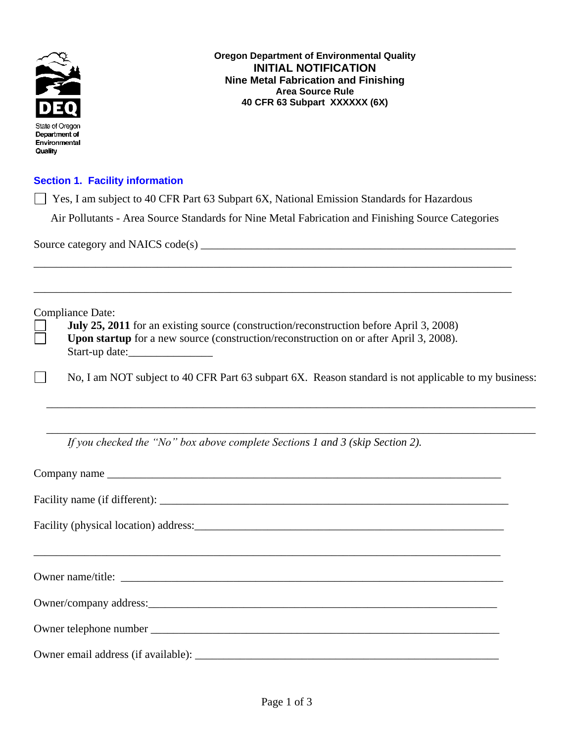

**Oregon Department of Environmental Quality INITIAL NOTIFICATION Nine Metal Fabrication and Finishing Area Source Rule 40 CFR 63 Subpart XXXXXX (6X)**

## **Section 1. Facility information**

Yes, I am subject to 40 CFR Part 63 Subpart 6X, National Emission Standards for Hazardous

Air Pollutants - Area Source Standards for Nine Metal Fabrication and Finishing Source Categories

\_\_\_\_\_\_\_\_\_\_\_\_\_\_\_\_\_\_\_\_\_\_\_\_\_\_\_\_\_\_\_\_\_\_\_\_\_\_\_\_\_\_\_\_\_\_\_\_\_\_\_\_\_\_\_\_\_\_\_\_\_\_\_\_\_\_\_\_\_\_\_\_\_\_\_\_\_\_\_\_\_\_\_\_\_

\_\_\_\_\_\_\_\_\_\_\_\_\_\_\_\_\_\_\_\_\_\_\_\_\_\_\_\_\_\_\_\_\_\_\_\_\_\_\_\_\_\_\_\_\_\_\_\_\_\_\_\_\_\_\_\_\_\_\_\_\_\_\_\_\_\_\_\_\_\_\_\_\_\_\_\_\_\_\_\_\_\_\_\_\_

Source category and NAICS code(s) \_\_\_\_\_\_\_\_\_\_\_\_\_\_\_\_\_\_\_\_\_\_\_\_\_\_\_\_\_\_\_\_\_\_\_\_\_\_\_\_\_\_\_\_\_\_\_\_\_\_\_\_\_\_\_\_

Compliance Date:

|                | July 25, 2011 for an existing source (construction/reconstruction before April 3, 2008)       |
|----------------|-----------------------------------------------------------------------------------------------|
|                | <b>Upon startup</b> for a new source (construction/reconstruction on or after April 3, 2008). |
| Start-up date: |                                                                                               |

No, I am NOT subject to 40 CFR Part 63 subpart 6X. Reason standard is not applicable to my business:

\_\_\_\_\_\_\_\_\_\_\_\_\_\_\_\_\_\_\_\_\_\_\_\_\_\_\_\_\_\_\_\_\_\_\_\_\_\_\_\_\_\_\_\_\_\_\_\_\_\_\_\_\_\_\_\_\_\_\_\_\_\_\_\_\_\_\_\_\_\_\_\_\_\_\_\_\_\_\_\_\_\_\_\_\_\_\_

\_\_\_\_\_\_\_\_\_\_\_\_\_\_\_\_\_\_\_\_\_\_\_\_\_\_\_\_\_\_\_\_\_\_\_\_\_\_\_\_\_\_\_\_\_\_\_\_\_\_\_\_\_\_\_\_\_\_\_\_\_\_\_\_\_\_\_\_\_\_\_\_\_\_\_\_\_\_\_\_\_\_\_\_\_\_\_

*If you checked the "No" box above complete Sections 1 and 3 (skip Section 2).*

| Owner/company address: <u>company and a set of the set of the set of the set of the set of the set of the set of the set of the set of the set of the set of the set of the set of the set of the set of the set of the set of t</u> |
|--------------------------------------------------------------------------------------------------------------------------------------------------------------------------------------------------------------------------------------|
|                                                                                                                                                                                                                                      |
|                                                                                                                                                                                                                                      |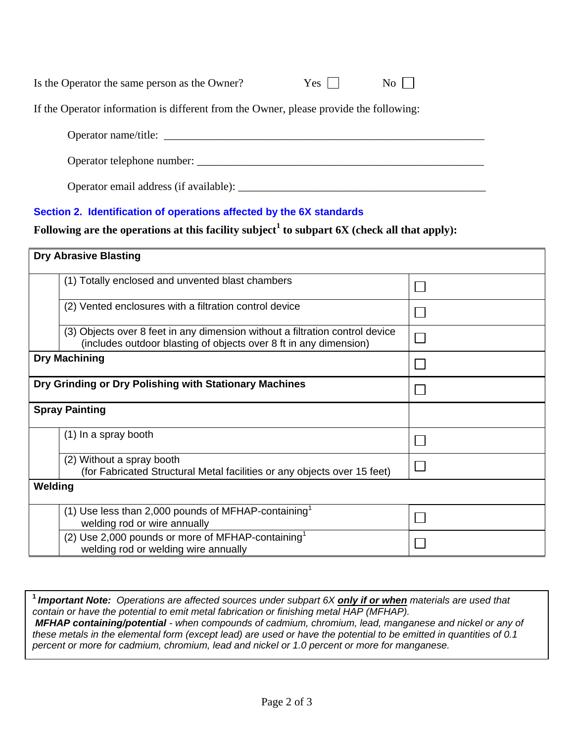| Is the Operator the same person as the Owner?                                          | $Yes \square$ | $\overline{N_0}$ |  |
|----------------------------------------------------------------------------------------|---------------|------------------|--|
| If the Operator information is different from the Owner, please provide the following: |               |                  |  |
| Operator name/title:                                                                   |               |                  |  |
| Operator telephone number:                                                             |               |                  |  |
|                                                                                        |               |                  |  |

Operator email address (if available): \_\_\_\_\_\_\_\_\_\_\_\_\_\_\_\_\_\_\_\_\_\_\_\_\_\_\_\_\_\_\_\_\_\_\_\_\_\_\_\_\_\_\_\_

## **Section 2. Identification of operations affected by the 6X standards**

**Following are the operations at this facility subject<sup>1</sup> to subpart 6X (check all that apply):**

| <b>Dry Abrasive Blasting</b>                                                                                                                      |  |  |  |
|---------------------------------------------------------------------------------------------------------------------------------------------------|--|--|--|
| (1) Totally enclosed and unvented blast chambers                                                                                                  |  |  |  |
| (2) Vented enclosures with a filtration control device                                                                                            |  |  |  |
| (3) Objects over 8 feet in any dimension without a filtration control device<br>(includes outdoor blasting of objects over 8 ft in any dimension) |  |  |  |
| <b>Dry Machining</b>                                                                                                                              |  |  |  |
| Dry Grinding or Dry Polishing with Stationary Machines                                                                                            |  |  |  |
| <b>Spray Painting</b>                                                                                                                             |  |  |  |
| (1) In a spray booth                                                                                                                              |  |  |  |
| (2) Without a spray booth<br>(for Fabricated Structural Metal facilities or any objects over 15 feet)                                             |  |  |  |
| Welding                                                                                                                                           |  |  |  |
| (1) Use less than 2,000 pounds of MFHAP-containing<br>welding rod or wire annually                                                                |  |  |  |
| (2) Use 2,000 pounds or more of MFHAP-containing <sup>1</sup><br>welding rod or welding wire annually                                             |  |  |  |

**<sup>1</sup>***Important Note: Operations are affected sources under subpart 6X only if or when materials are used that contain or have the potential to emit metal fabrication or finishing metal HAP (MFHAP). MFHAP containing/potential - when compounds of cadmium, chromium, lead, manganese and nickel or any of these metals in the elemental form (except lead) are used or have the potential to be emitted in quantities of 0.1 percent or more for cadmium, chromium, lead and nickel or 1.0 percent or more for manganese.*